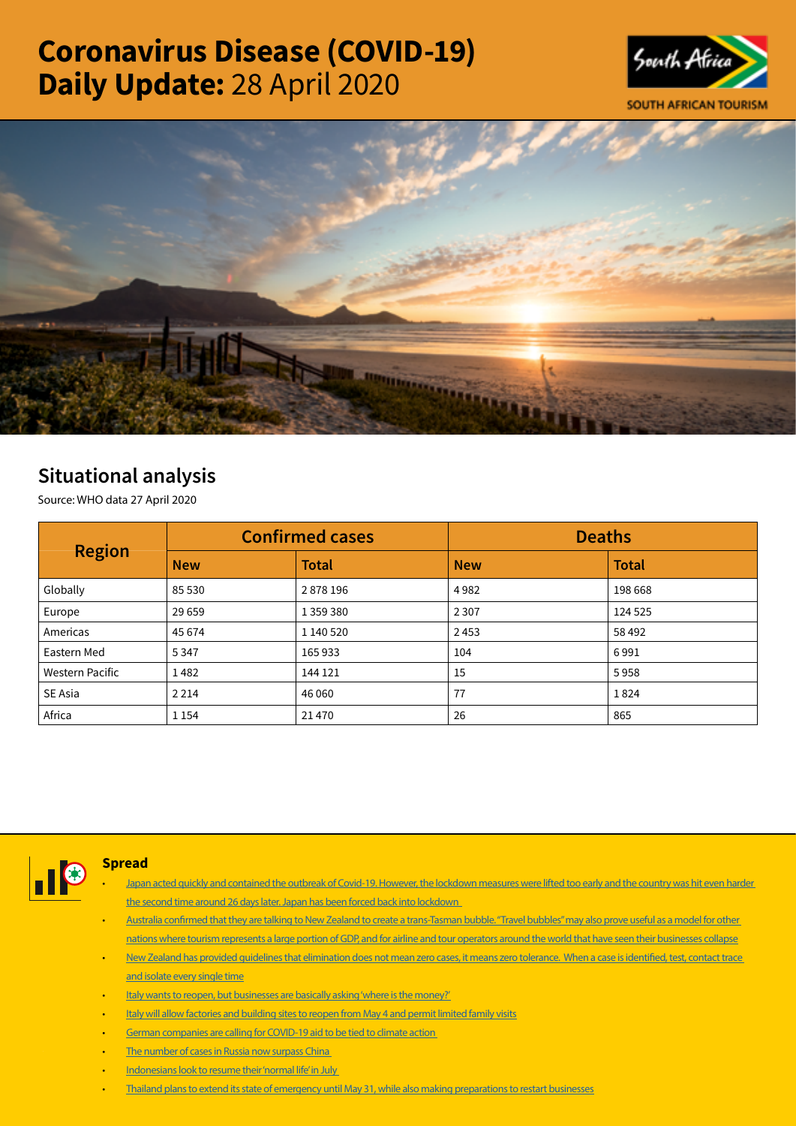# Coronavirus Disease (COVID-19) Daily Update: 28 April 2020





# Situational analysis

Source: WHO data 27 April 2020

| <b>Region</b>          | <b>Confirmed cases</b> |              | <b>Deaths</b> |              |  |
|------------------------|------------------------|--------------|---------------|--------------|--|
|                        | <b>New</b>             | <b>Total</b> | <b>New</b>    | <b>Total</b> |  |
| Globally               | 85 530                 | 2878196      | 4982          | 198 668      |  |
| Europe                 | 29 6 59                | 1 359 380    | 2 3 0 7       | 124 525      |  |
| Americas               | 45 674                 | 1 140 520    | 2453          | 58 4 92      |  |
| Eastern Med            | 5 3 4 7                | 165933       | 104           | 6991         |  |
| <b>Western Pacific</b> | 1482                   | 144 121      | 15            | 5958         |  |
| SE Asia                | 2 2 1 4                | 46 060       | 77            | 1824         |  |
| Africa                 | 1 1 5 4                | 21470        | 26            | 865          |  |



# Spread

- Japan acted quickly and contained the outbreak of Covid-19. However, the lockdown measures were lifted too early and the country was hit even harder [the second time around 26 days later. Japan has been forced back into lockdown](https://t.co/Yy8DgJwP4r?amp=1)
- [Australia confirmed that they are talking to New Zealand to create a trans-Tasman bubble. "Travel bubbles" may also prove useful as a model for other](https://t.co/cOYOkNoXF4?amp=1)  [nations where tourism represents a large portion of GDP, and for airline and tour operators around the world that have seen their businesses collapse](https://t.co/cOYOkNoXF4?amp=1)
- [New Zealand has provided guidelines that elimination does not mean zero cases, it means zero tolerance. When a case is identified, test, contact trace](https://t.co/Ot2eDoCTBt?amp=1)  [and isolate every single time](https://t.co/Ot2eDoCTBt?amp=1)
- [Italy wants to reopen, but businesses are basically asking 'where is the money?'](https://t.co/38rbSOnzCr?amp=1)
- [Italy will allow factories and building sites to reopen from May 4 and permit limited family visits](https://t.co/6byvIrjZt0?amp=1)
- [German companies are calling for COVID-19 aid to be tied to climate action](https://t.co/UuVnrsl5bS?amp=1)
- The number of cases in Russia now surpass China
- Indonesians look to resume their 'normal life' in July
- [Thailand plans to extend its state of emergency until May 31, while also making preparations to restart businesses](https://t.co/ZFN06pdM3d?amp=1)